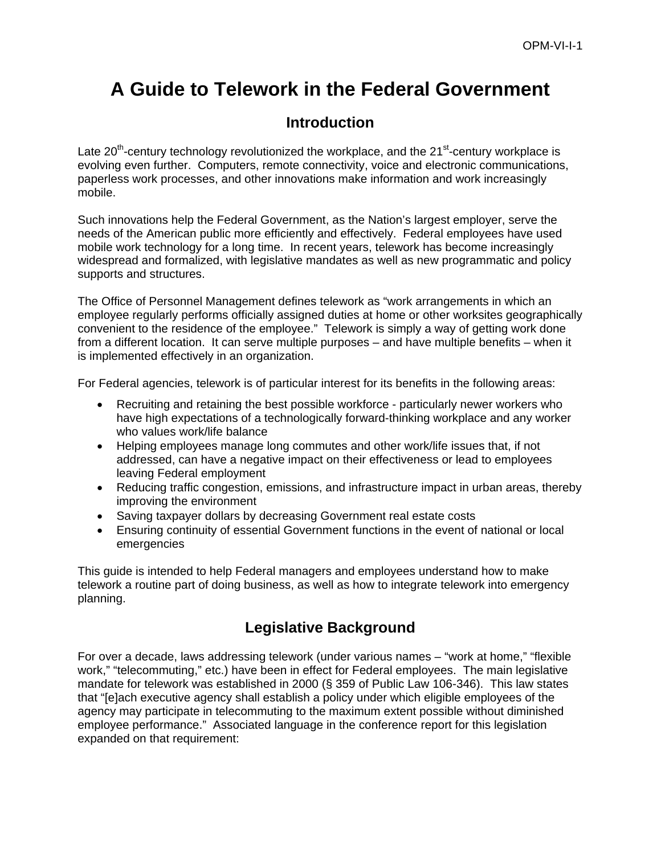# **A Guide to Telework in the Federal Government**

# **Introduction**

Late  $20<sup>th</sup>$ -century technology revolutionized the workplace, and the  $21<sup>st</sup>$ -century workplace is evolving even further. Computers, remote connectivity, voice and electronic communications, paperless work processes, and other innovations make information and work increasingly mobile.

Such innovations help the Federal Government, as the Nation's largest employer, serve the needs of the American public more efficiently and effectively. Federal employees have used mobile work technology for a long time. In recent years, telework has become increasingly widespread and formalized, with legislative mandates as well as new programmatic and policy supports and structures.

The Office of Personnel Management defines telework as "work arrangements in which an employee regularly performs officially assigned duties at home or other worksites geographically convenient to the residence of the employee." Telework is simply a way of getting work done from a different location. It can serve multiple purposes – and have multiple benefits – when it is implemented effectively in an organization.

For Federal agencies, telework is of particular interest for its benefits in the following areas:

- Recruiting and retaining the best possible workforce particularly newer workers who have high expectations of a technologically forward-thinking workplace and any worker who values work/life balance
- Helping employees manage long commutes and other work/life issues that, if not addressed, can have a negative impact on their effectiveness or lead to employees leaving Federal employment
- Reducing traffic congestion, emissions, and infrastructure impact in urban areas, thereby improving the environment
- Saving taxpayer dollars by decreasing Government real estate costs
- Ensuring continuity of essential Government functions in the event of national or local emergencies

This guide is intended to help Federal managers and employees understand how to make telework a routine part of doing business, as well as how to integrate telework into emergency planning.

# **Legislative Background**

For over a decade, laws addressing telework (under various names – "work at home," "flexible work," "telecommuting," etc.) have been in effect for Federal employees. The main legislative mandate for telework was established in 2000 (§ 359 of Public Law 106-346). This law states that "[e]ach executive agency shall establish a policy under which eligible employees of the agency may participate in telecommuting to the maximum extent possible without diminished employee performance." Associated language in the conference report for this legislation expanded on that requirement: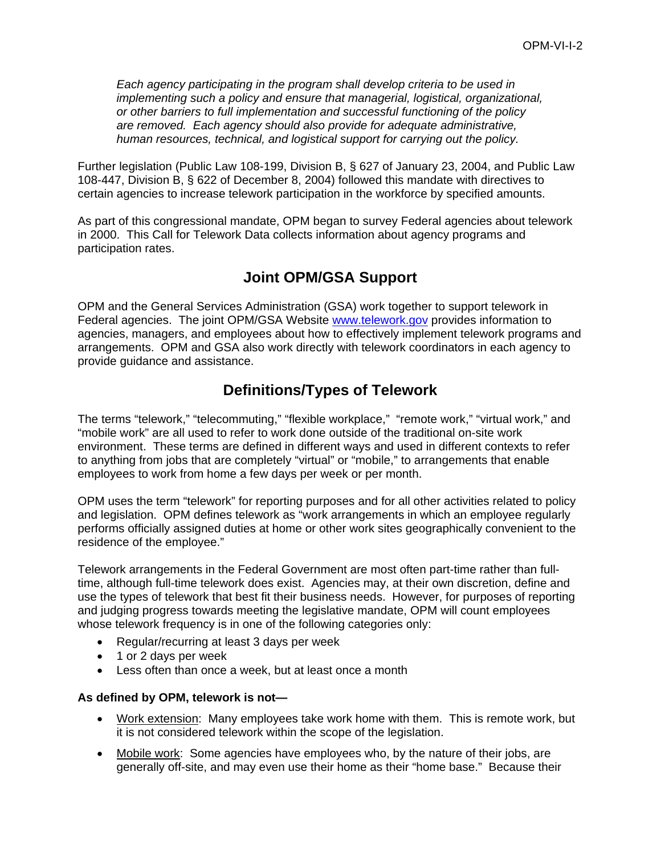*Each agency participating in the program shall develop criteria to be used in implementing such a policy and ensure that managerial, logistical, organizational, or other barriers to full implementation and successful functioning of the policy are removed. Each agency should also provide for adequate administrative, human resources, technical, and logistical support for carrying out the policy.* 

Further legislation (Public Law 108-199, Division B, § 627 of January 23, 2004, and Public Law 108-447, Division B, § 622 of December 8, 2004) followed this mandate with directives to certain agencies to increase telework participation in the workforce by specified amounts.

As part of this congressional mandate, OPM began to survey Federal agencies about telework in 2000. This Call for Telework Data collects information about agency programs and participation rates.

# **Joint OPM/GSA Support**

OPM and the General Services Administration (GSA) work together to support telework in Federal agencies. The joint OPM/GSA Website [www.telework.gov](http://www.telework.gov/) provides information to agencies, managers, and employees about how to effectively implement telework programs and arrangements. OPM and GSA also work directly with telework coordinators in each agency to provide guidance and assistance.

# **Definitions/Types of Telework**

The terms "telework," "telecommuting," "flexible workplace," "remote work," "virtual work," and "mobile work" are all used to refer to work done outside of the traditional on-site work environment. These terms are defined in different ways and used in different contexts to refer to anything from jobs that are completely "virtual" or "mobile," to arrangements that enable employees to work from home a few days per week or per month.

OPM uses the term "telework" for reporting purposes and for all other activities related to policy and legislation. OPM defines telework as "work arrangements in which an employee regularly performs officially assigned duties at home or other work sites geographically convenient to the residence of the employee."

Telework arrangements in the Federal Government are most often part-time rather than fulltime, although full-time telework does exist. Agencies may, at their own discretion, define and use the types of telework that best fit their business needs. However, for purposes of reporting and judging progress towards meeting the legislative mandate, OPM will count employees whose telework frequency is in one of the following categories only:

- Regular/recurring at least 3 days per week
- 1 or 2 days per week
- Less often than once a week, but at least once a month

#### **As defined by OPM, telework is not—**

- Work extension: Many employees take work home with them. This is remote work, but it is not considered telework within the scope of the legislation.
- Mobile work: Some agencies have employees who, by the nature of their jobs, are generally off-site, and may even use their home as their "home base." Because their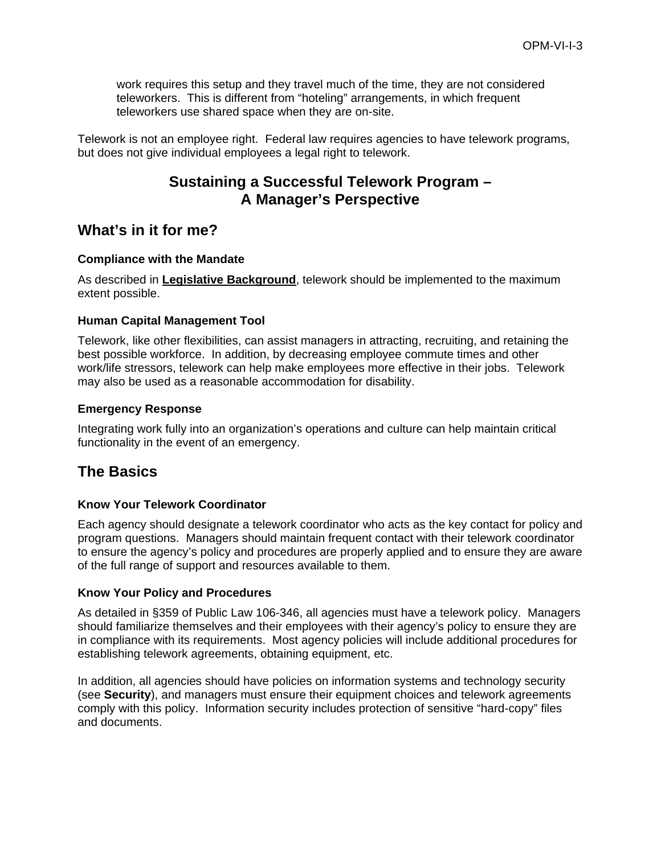work requires this setup and they travel much of the time, they are not considered teleworkers. This is different from "hoteling" arrangements, in which frequent teleworkers use shared space when they are on-site.

Telework is not an employee right. Federal law requires agencies to have telework programs, but does not give individual employees a legal right to telework.

# **Sustaining a Successful Telework Program – A Manager's Perspective**

# **What's in it for me?**

### **Compliance with the Mandate**

As described in **Legislative Background**, telework should be implemented to the maximum extent possible.

### **Human Capital Management Tool**

Telework, like other flexibilities, can assist managers in attracting, recruiting, and retaining the best possible workforce. In addition, by decreasing employee commute times and other work/life stressors, telework can help make employees more effective in their jobs. Telework may also be used as a reasonable accommodation for disability.

### **Emergency Response**

Integrating work fully into an organization's operations and culture can help maintain critical functionality in the event of an emergency.

# **The Basics**

## **Know Your Telework Coordinator**

Each agency should designate a telework coordinator who acts as the key contact for policy and program questions. Managers should maintain frequent contact with their telework coordinator to ensure the agency's policy and procedures are properly applied and to ensure they are aware of the full range of support and resources available to them.

#### **Know Your Policy and Procedures**

As detailed in §359 of Public Law 106-346, all agencies must have a telework policy. Managers should familiarize themselves and their employees with their agency's policy to ensure they are in compliance with its requirements. Most agency policies will include additional procedures for establishing telework agreements, obtaining equipment, etc.

In addition, all agencies should have policies on information systems and technology security (see **Security**), and managers must ensure their equipment choices and telework agreements comply with this policy. Information security includes protection of sensitive "hard-copy" files and documents.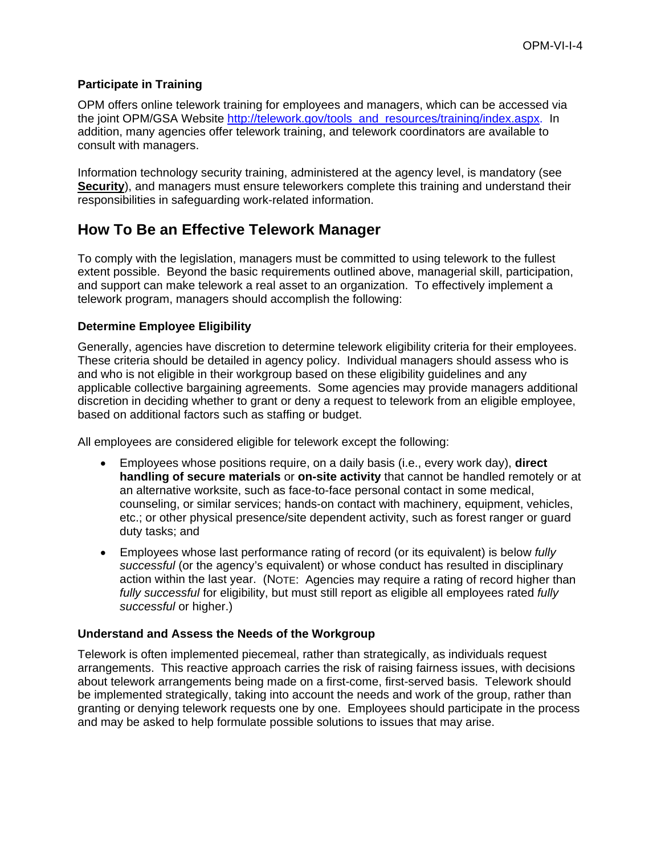### **Participate in Training**

OPM offers online telework training for employees and managers, which can be accessed via the joint OPM/GSA Website [http://telework.gov/tools\\_and\\_resources/training/index.aspx.](http://telework.gov/tools_and_resources/training/index.aspx) In addition, many agencies offer telework training, and telework coordinators are available to consult with managers.

Information technology security training, administered at the agency level, is mandatory (see **Security**), and managers must ensure teleworkers complete this training and understand their responsibilities in safeguarding work-related information.

# **How To Be an Effective Telework Manager**

To comply with the legislation, managers must be committed to using telework to the fullest extent possible. Beyond the basic requirements outlined above, managerial skill, participation, and support can make telework a real asset to an organization. To effectively implement a telework program, managers should accomplish the following:

### **Determine Employee Eligibility**

Generally, agencies have discretion to determine telework eligibility criteria for their employees. These criteria should be detailed in agency policy. Individual managers should assess who is and who is not eligible in their workgroup based on these eligibility guidelines and any applicable collective bargaining agreements. Some agencies may provide managers additional discretion in deciding whether to grant or deny a request to telework from an eligible employee, based on additional factors such as staffing or budget.

All employees are considered eligible for telework except the following:

- Employees whose positions require, on a daily basis (i.e., every work day), **direct handling of secure materials** or **on-site activity** that cannot be handled remotely or at an alternative worksite, such as face-to-face personal contact in some medical, counseling, or similar services; hands-on contact with machinery, equipment, vehicles, etc.; or other physical presence/site dependent activity, such as forest ranger or guard duty tasks; and
- Employees whose last performance rating of record (or its equivalent) is below *fully successful* (or the agency's equivalent) or whose conduct has resulted in disciplinary action within the last year. (NOTE: Agencies may require a rating of record higher than *fully successful* for eligibility, but must still report as eligible all employees rated *fully successful* or higher.)

#### **Understand and Assess the Needs of the Workgroup**

Telework is often implemented piecemeal, rather than strategically, as individuals request arrangements. This reactive approach carries the risk of raising fairness issues, with decisions about telework arrangements being made on a first-come, first-served basis. Telework should be implemented strategically, taking into account the needs and work of the group, rather than granting or denying telework requests one by one. Employees should participate in the process and may be asked to help formulate possible solutions to issues that may arise.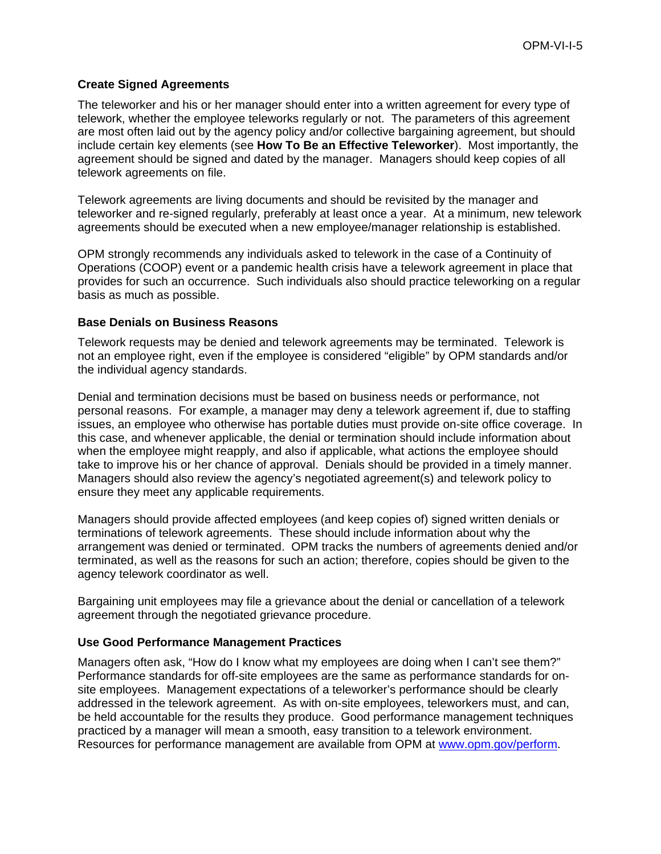### **Create Signed Agreements**

The teleworker and his or her manager should enter into a written agreement for every type of telework, whether the employee teleworks regularly or not. The parameters of this agreement are most often laid out by the agency policy and/or collective bargaining agreement, but should include certain key elements (see **How To Be an Effective Teleworker**). Most importantly, the agreement should be signed and dated by the manager. Managers should keep copies of all telework agreements on file.

Telework agreements are living documents and should be revisited by the manager and teleworker and re-signed regularly, preferably at least once a year. At a minimum, new telework agreements should be executed when a new employee/manager relationship is established.

OPM strongly recommends any individuals asked to telework in the case of a Continuity of Operations (COOP) event or a pandemic health crisis have a telework agreement in place that provides for such an occurrence. Such individuals also should practice teleworking on a regular basis as much as possible.

#### **Base Denials on Business Reasons**

Telework requests may be denied and telework agreements may be terminated. Telework is not an employee right, even if the employee is considered "eligible" by OPM standards and/or the individual agency standards.

Denial and termination decisions must be based on business needs or performance, not personal reasons. For example, a manager may deny a telework agreement if, due to staffing issues, an employee who otherwise has portable duties must provide on-site office coverage. In this case, and whenever applicable, the denial or termination should include information about when the employee might reapply, and also if applicable, what actions the employee should take to improve his or her chance of approval. Denials should be provided in a timely manner. Managers should also review the agency's negotiated agreement(s) and telework policy to ensure they meet any applicable requirements.

Managers should provide affected employees (and keep copies of) signed written denials or terminations of telework agreements. These should include information about why the arrangement was denied or terminated. OPM tracks the numbers of agreements denied and/or terminated, as well as the reasons for such an action; therefore, copies should be given to the agency telework coordinator as well.

Bargaining unit employees may file a grievance about the denial or cancellation of a telework agreement through the negotiated grievance procedure.

#### **Use Good Performance Management Practices**

Managers often ask, "How do I know what my employees are doing when I can't see them?" Performance standards for off-site employees are the same as performance standards for onsite employees. Management expectations of a teleworker's performance should be clearly addressed in the telework agreement. As with on-site employees, teleworkers must, and can, be held accountable for the results they produce. Good performance management techniques practiced by a manager will mean a smooth, easy transition to a telework environment. Resources for performance management are available from OPM at [www.opm.gov/perform](http://www.opm.gov/perform).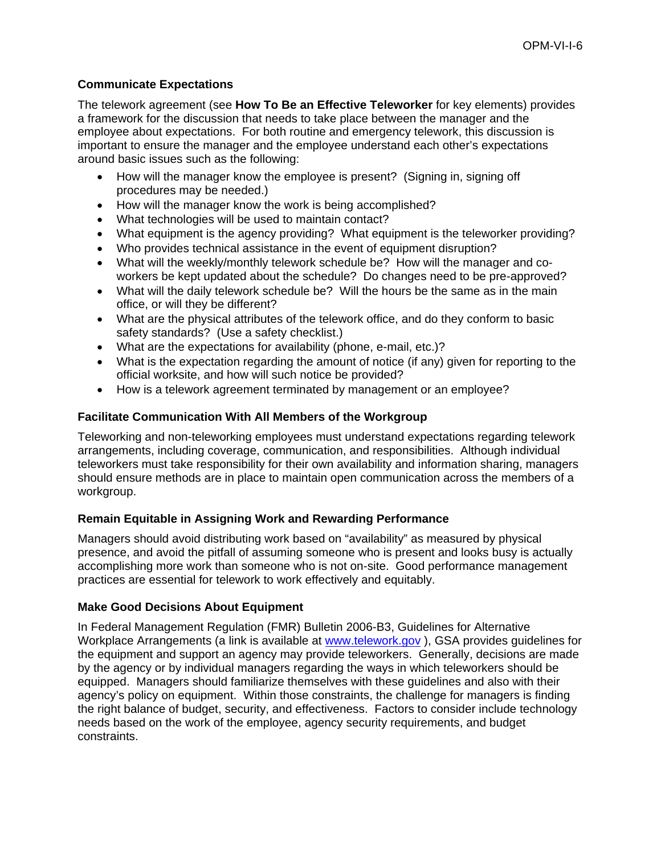## **Communicate Expectations**

The telework agreement (see **How To Be an Effective Teleworker** for key elements) provides a framework for the discussion that needs to take place between the manager and the employee about expectations. For both routine and emergency telework, this discussion is important to ensure the manager and the employee understand each other's expectations around basic issues such as the following:

- How will the manager know the employee is present? (Signing in, signing off procedures may be needed.)
- How will the manager know the work is being accomplished?
- What technologies will be used to maintain contact?
- What equipment is the agency providing? What equipment is the teleworker providing?
- Who provides technical assistance in the event of equipment disruption?
- What will the weekly/monthly telework schedule be? How will the manager and coworkers be kept updated about the schedule? Do changes need to be pre-approved?
- What will the daily telework schedule be? Will the hours be the same as in the main office, or will they be different?
- What are the physical attributes of the telework office, and do they conform to basic safety standards? (Use a safety checklist.)
- What are the expectations for availability (phone, e-mail, etc.)?
- What is the expectation regarding the amount of notice (if any) given for reporting to the official worksite, and how will such notice be provided?
- How is a telework agreement terminated by management or an employee?

### **Facilitate Communication With All Members of the Workgroup**

Teleworking and non-teleworking employees must understand expectations regarding telework arrangements, including coverage, communication, and responsibilities. Although individual teleworkers must take responsibility for their own availability and information sharing, managers should ensure methods are in place to maintain open communication across the members of a workgroup.

## **Remain Equitable in Assigning Work and Rewarding Performance**

Managers should avoid distributing work based on "availability" as measured by physical presence, and avoid the pitfall of assuming someone who is present and looks busy is actually accomplishing more work than someone who is not on-site. Good performance management practices are essential for telework to work effectively and equitably.

#### **Make Good Decisions About Equipment**

In Federal Management Regulation (FMR) Bulletin 2006-B3, Guidelines for Alternative Workplace Arrangements (a link is available at [www.telework.gov](http://www.telework.gov/) ), GSA provides guidelines for the equipment and support an agency may provide teleworkers. Generally, decisions are made by the agency or by individual managers regarding the ways in which teleworkers should be equipped. Managers should familiarize themselves with these guidelines and also with their agency's policy on equipment. Within those constraints, the challenge for managers is finding the right balance of budget, security, and effectiveness. Factors to consider include technology needs based on the work of the employee, agency security requirements, and budget constraints.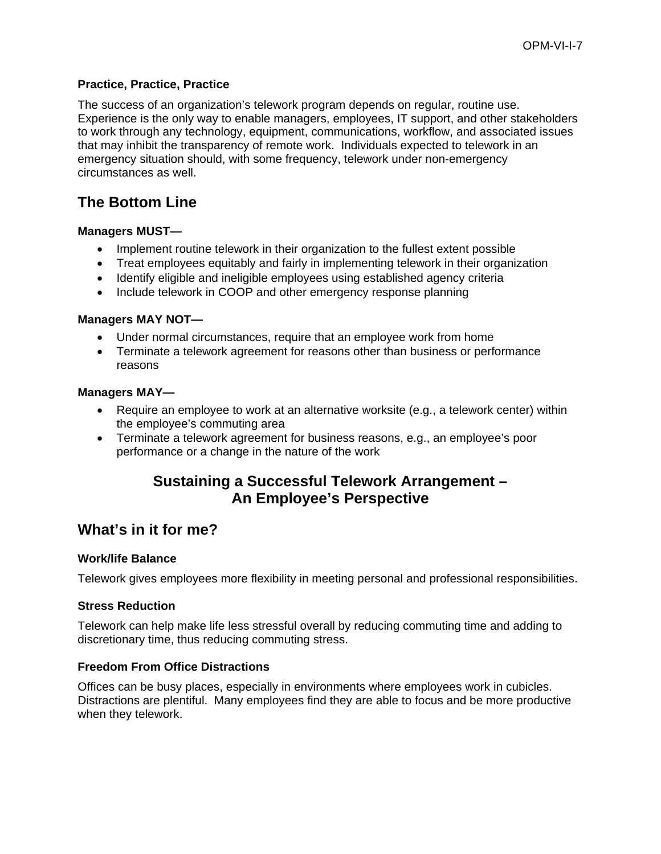### **Practice, Practice, Practice**

The success of an organization's telework program depends on regular, routine use. Experience is the only way to enable managers, employees, IT support, and other stakeholders to work through any technology, equipment, communications, workflow, and associated issues that may inhibit the transparency of remote work. Individuals expected to telework in an emergency situation should, with some frequency, telework under non-emergency circumstances as well.

# **The Bottom Line**

### **Managers MUST—**

- Implement routine telework in their organization to the fullest extent possible
- Treat employees equitably and fairly in implementing telework in their organization
- Identify eligible and ineligible employees using established agency criteria
- Include telework in COOP and other emergency response planning

### **Managers MAY NOT—**

- Under normal circumstances, require that an employee work from home
- Terminate a telework agreement for reasons other than business or performance reasons

#### **Managers MAY—**

- Require an employee to work at an alternative worksite (e.g., a telework center) within the employee's commuting area
- Terminate a telework agreement for business reasons, e.g., an employee's poor performance or a change in the nature of the work

# **Sustaining a Successful Telework Arrangement – An Employee's Perspective**

# **What's in it for me?**

#### **Work/life Balance**

Telework gives employees more flexibility in meeting personal and professional responsibilities.

#### **Stress Reduction**

Telework can help make life less stressful overall by reducing commuting time and adding to discretionary time, thus reducing commuting stress.

## **Freedom From Office Distractions**

Offices can be busy places, especially in environments where employees work in cubicles. Distractions are plentiful. Many employees find they are able to focus and be more productive when they telework.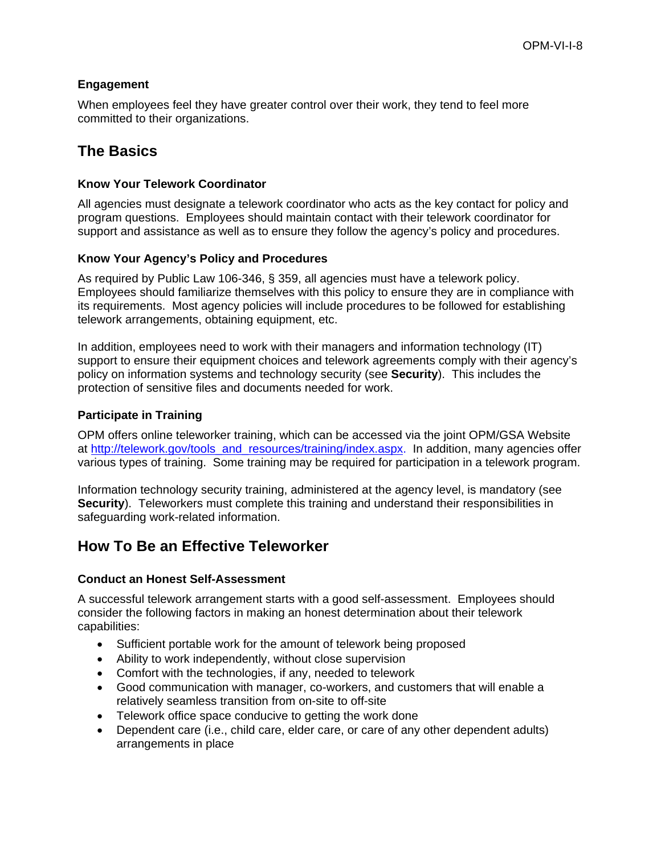# **Engagement**

When employees feel they have greater control over their work, they tend to feel more committed to their organizations.

# **The Basics**

### **Know Your Telework Coordinator**

All agencies must designate a telework coordinator who acts as the key contact for policy and program questions. Employees should maintain contact with their telework coordinator for support and assistance as well as to ensure they follow the agency's policy and procedures.

## **Know Your Agency's Policy and Procedures**

As required by Public Law 106-346, § 359, all agencies must have a telework policy. Employees should familiarize themselves with this policy to ensure they are in compliance with its requirements. Most agency policies will include procedures to be followed for establishing telework arrangements, obtaining equipment, etc.

In addition, employees need to work with their managers and information technology (IT) support to ensure their equipment choices and telework agreements comply with their agency's policy on information systems and technology security (see **Security**). This includes the protection of sensitive files and documents needed for work.

### **Participate in Training**

OPM offers online teleworker training, which can be accessed via the joint OPM/GSA Website at [http://telework.gov/tools\\_and\\_resources/training/index.aspx](http://telework.gov/tools_and_resources/training/index.aspx). In addition, many agencies offer various types of training. Some training may be required for participation in a telework program.

Information technology security training, administered at the agency level, is mandatory (see **Security**). Teleworkers must complete this training and understand their responsibilities in safeguarding work-related information.

# **How To Be an Effective Teleworker**

#### **Conduct an Honest Self-Assessment**

A successful telework arrangement starts with a good self-assessment. Employees should consider the following factors in making an honest determination about their telework capabilities:

- Sufficient portable work for the amount of telework being proposed
- Ability to work independently, without close supervision
- Comfort with the technologies, if any, needed to telework
- Good communication with manager, co-workers, and customers that will enable a relatively seamless transition from on-site to off-site
- Telework office space conducive to getting the work done
- Dependent care (i.e., child care, elder care, or care of any other dependent adults) arrangements in place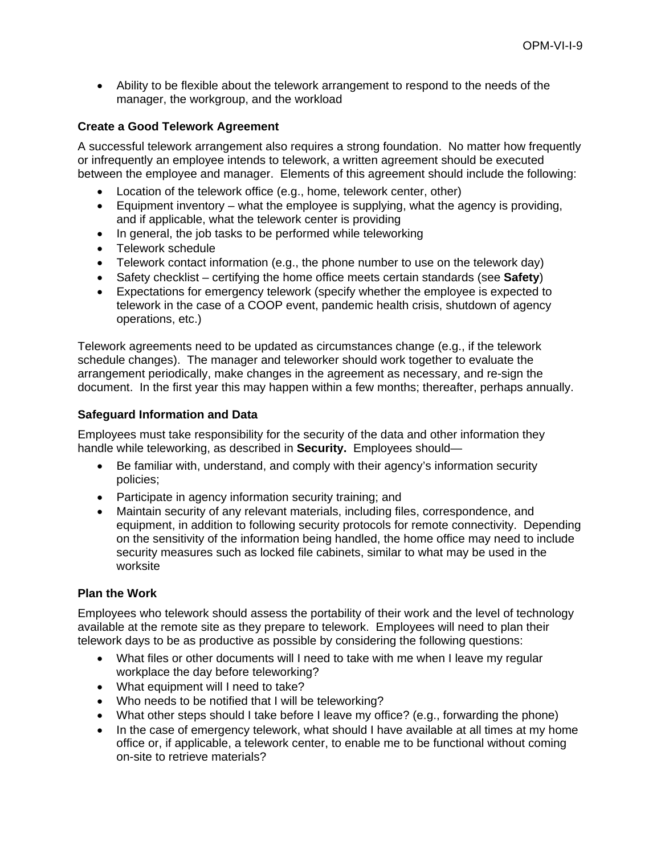• Ability to be flexible about the telework arrangement to respond to the needs of the manager, the workgroup, and the workload

#### **Create a Good Telework Agreement**

A successful telework arrangement also requires a strong foundation. No matter how frequently or infrequently an employee intends to telework, a written agreement should be executed between the employee and manager. Elements of this agreement should include the following:

- Location of the telework office (e.g., home, telework center, other)
- Equipment inventory what the employee is supplying, what the agency is providing, and if applicable, what the telework center is providing
- In general, the job tasks to be performed while teleworking
- Telework schedule
- Telework contact information (e.g., the phone number to use on the telework day)
- Safety checklist certifying the home office meets certain standards (see **Safety**)
- Expectations for emergency telework (specify whether the employee is expected to telework in the case of a COOP event, pandemic health crisis, shutdown of agency operations, etc.)

Telework agreements need to be updated as circumstances change (e.g., if the telework schedule changes). The manager and teleworker should work together to evaluate the arrangement periodically, make changes in the agreement as necessary, and re-sign the document. In the first year this may happen within a few months; thereafter, perhaps annually.

### **Safeguard Information and Data**

Employees must take responsibility for the security of the data and other information they handle while teleworking, as described in **Security.** Employees should—

- Be familiar with, understand, and comply with their agency's information security policies;
- Participate in agency information security training; and
- Maintain security of any relevant materials, including files, correspondence, and equipment, in addition to following security protocols for remote connectivity. Depending on the sensitivity of the information being handled, the home office may need to include security measures such as locked file cabinets, similar to what may be used in the worksite

### **Plan the Work**

Employees who telework should assess the portability of their work and the level of technology available at the remote site as they prepare to telework. Employees will need to plan their telework days to be as productive as possible by considering the following questions:

- What files or other documents will I need to take with me when I leave my regular workplace the day before teleworking?
- What equipment will I need to take?
- Who needs to be notified that I will be teleworking?
- What other steps should I take before I leave my office? (e.g., forwarding the phone)
- In the case of emergency telework, what should I have available at all times at my home office or, if applicable, a telework center, to enable me to be functional without coming on-site to retrieve materials?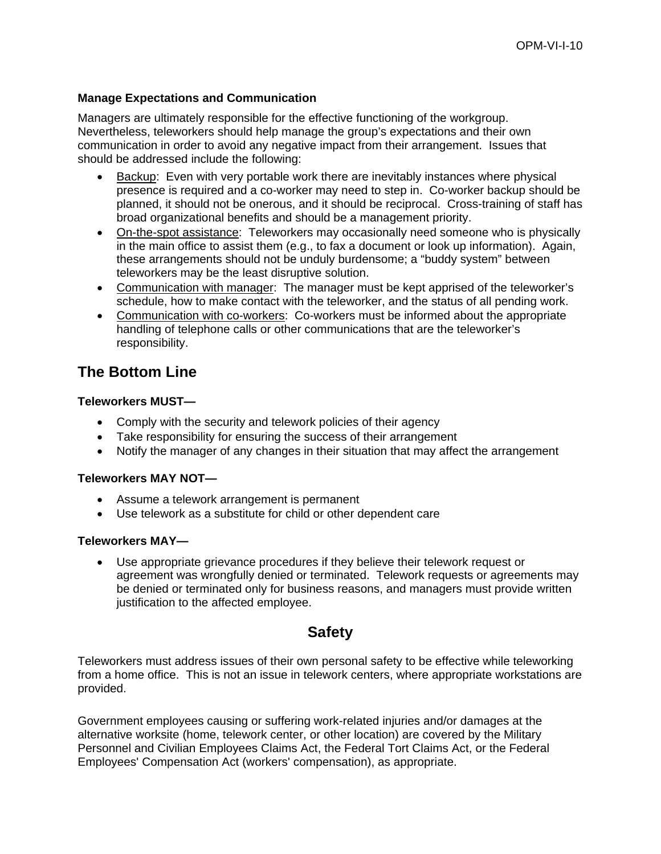# **Manage Expectations and Communication**

Managers are ultimately responsible for the effective functioning of the workgroup. Nevertheless, teleworkers should help manage the group's expectations and their own communication in order to avoid any negative impact from their arrangement. Issues that should be addressed include the following:

- Backup: Even with very portable work there are inevitably instances where physical presence is required and a co-worker may need to step in. Co-worker backup should be planned, it should not be onerous, and it should be reciprocal. Cross-training of staff has broad organizational benefits and should be a management priority.
- On-the-spot assistance: Teleworkers may occasionally need someone who is physically in the main office to assist them (e.g., to fax a document or look up information). Again, these arrangements should not be unduly burdensome; a "buddy system" between teleworkers may be the least disruptive solution.
- Communication with manager: The manager must be kept apprised of the teleworker's schedule, how to make contact with the teleworker, and the status of all pending work.
- Communication with co-workers: Co-workers must be informed about the appropriate handling of telephone calls or other communications that are the teleworker's responsibility.

# **The Bottom Line**

## **Teleworkers MUST—**

- Comply with the security and telework policies of their agency
- Take responsibility for ensuring the success of their arrangement
- Notify the manager of any changes in their situation that may affect the arrangement

#### **Teleworkers MAY NOT—**

- Assume a telework arrangement is permanent
- Use telework as a substitute for child or other dependent care

#### **Teleworkers MAY—**

• Use appropriate grievance procedures if they believe their telework request or agreement was wrongfully denied or terminated. Telework requests or agreements may be denied or terminated only for business reasons, and managers must provide written justification to the affected employee.

# **Safety**

Teleworkers must address issues of their own personal safety to be effective while teleworking from a home office. This is not an issue in telework centers, where appropriate workstations are provided.

Government employees causing or suffering work-related injuries and/or damages at the alternative worksite (home, telework center, or other location) are covered by the Military Personnel and Civilian Employees Claims Act, the Federal Tort Claims Act, or the Federal Employees' Compensation Act (workers' compensation), as appropriate.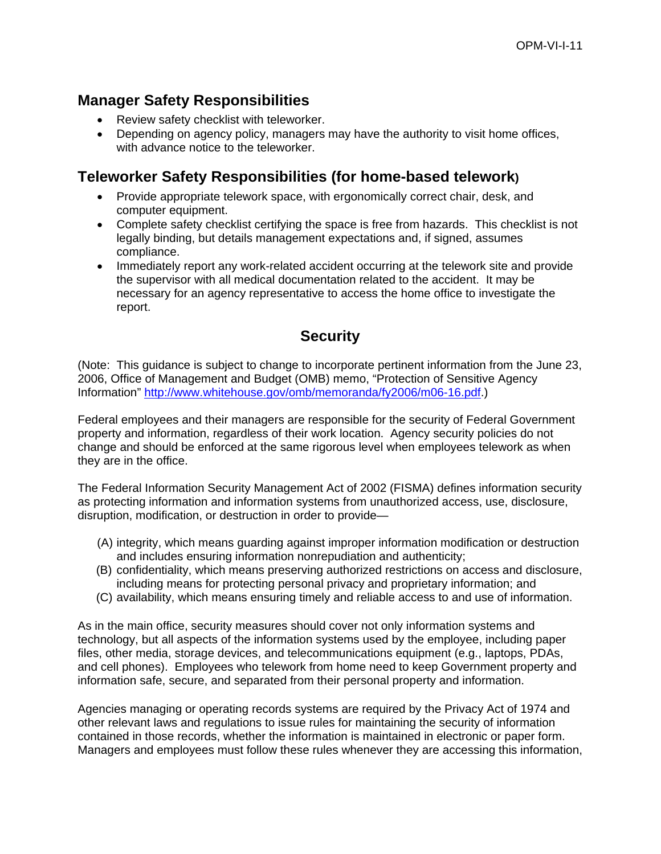# **Manager Safety Responsibilities**

- Review safety checklist with teleworker.
- Depending on agency policy, managers may have the authority to visit home offices, with advance notice to the teleworker.

# **Teleworker Safety Responsibilities (for home-based telework)**

- Provide appropriate telework space, with ergonomically correct chair, desk, and computer equipment.
- Complete safety checklist certifying the space is free from hazards. This checklist is not legally binding, but details management expectations and, if signed, assumes compliance.
- Immediately report any work-related accident occurring at the telework site and provide the supervisor with all medical documentation related to the accident. It may be necessary for an agency representative to access the home office to investigate the report.

# **Security**

(Note: This guidance is subject to change to incorporate pertinent information from the June 23, 2006, Office of Management and Budget (OMB) memo, "Protection of Sensitive Agency Information" <http://www.whitehouse.gov/omb/memoranda/fy2006/m06-16.pdf>.)

Federal employees and their managers are responsible for the security of Federal Government property and information, regardless of their work location. Agency security policies do not change and should be enforced at the same rigorous level when employees telework as when they are in the office.

The Federal Information Security Management Act of 2002 (FISMA) defines information security as protecting information and information systems from unauthorized access, use, disclosure, disruption, modification, or destruction in order to provide—

- (A) integrity, which means guarding against improper information modification or destruction and includes ensuring information nonrepudiation and authenticity;
- (B) confidentiality, which means preserving authorized restrictions on access and disclosure, including means for protecting personal privacy and proprietary information; and
- (C) availability, which means ensuring timely and reliable access to and use of information.

As in the main office, security measures should cover not only information systems and technology, but all aspects of the information systems used by the employee, including paper files, other media, storage devices, and telecommunications equipment (e.g., laptops, PDAs, and cell phones). Employees who telework from home need to keep Government property and information safe, secure, and separated from their personal property and information.

Agencies managing or operating records systems are required by the Privacy Act of 1974 and other relevant laws and regulations to issue rules for maintaining the security of information contained in those records, whether the information is maintained in electronic or paper form. Managers and employees must follow these rules whenever they are accessing this information,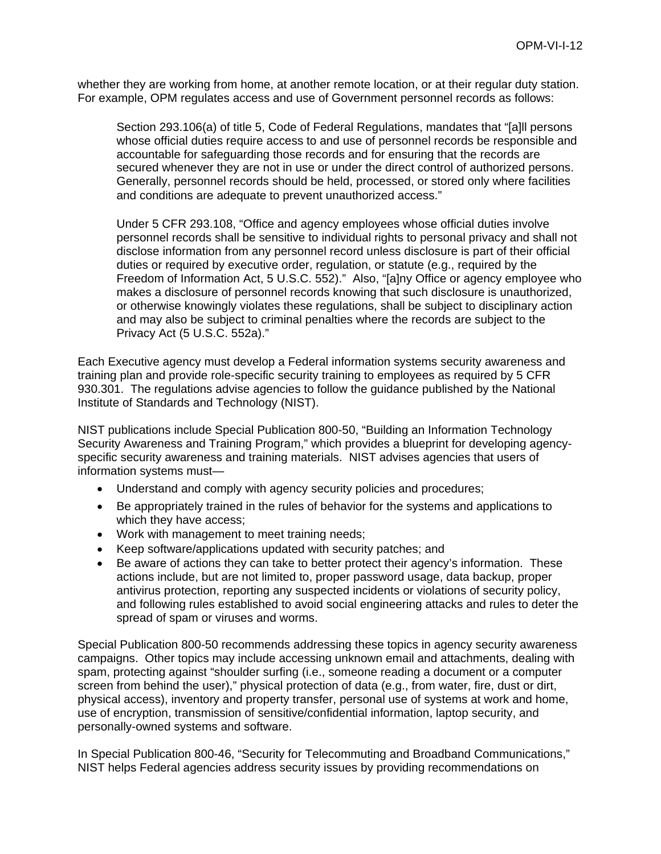whether they are working from home, at another remote location, or at their regular duty station. For example, OPM regulates access and use of Government personnel records as follows:

Section 293.106(a) of title 5, Code of Federal Regulations, mandates that "[a]ll persons whose official duties require access to and use of personnel records be responsible and accountable for safeguarding those records and for ensuring that the records are secured whenever they are not in use or under the direct control of authorized persons. Generally, personnel records should be held, processed, or stored only where facilities and conditions are adequate to prevent unauthorized access."

Under 5 CFR 293.108, "Office and agency employees whose official duties involve personnel records shall be sensitive to individual rights to personal privacy and shall not disclose information from any personnel record unless disclosure is part of their official duties or required by executive order, regulation, or statute (e.g., required by the Freedom of Information Act, 5 U.S.C. 552)." Also, "[a]ny Office or agency employee who makes a disclosure of personnel records knowing that such disclosure is unauthorized, or otherwise knowingly violates these regulations, shall be subject to disciplinary action and may also be subject to criminal penalties where the records are subject to the Privacy Act (5 U.S.C. 552a)."

Each Executive agency must develop a Federal information systems security awareness and training plan and provide role-specific security training to employees as required by 5 CFR 930.301. The regulations advise agencies to follow the guidance published by the National Institute of Standards and Technology (NIST).

NIST publications include Special Publication 800-50, "Building an Information Technology Security Awareness and Training Program," which provides a blueprint for developing agencyspecific security awareness and training materials. NIST advises agencies that users of information systems must—

- Understand and comply with agency security policies and procedures;
- Be appropriately trained in the rules of behavior for the systems and applications to which they have access;
- Work with management to meet training needs;
- Keep software/applications updated with security patches; and
- Be aware of actions they can take to better protect their agency's information. These actions include, but are not limited to, proper password usage, data backup, proper antivirus protection, reporting any suspected incidents or violations of security policy, and following rules established to avoid social engineering attacks and rules to deter the spread of spam or viruses and worms.

Special Publication 800-50 recommends addressing these topics in agency security awareness campaigns. Other topics may include accessing unknown email and attachments, dealing with spam, protecting against "shoulder surfing (i.e., someone reading a document or a computer screen from behind the user)," physical protection of data (e.g., from water, fire, dust or dirt, physical access), inventory and property transfer, personal use of systems at work and home, use of encryption, transmission of sensitive/confidential information, laptop security, and personally-owned systems and software.

In Special Publication 800-46, "Security for Telecommuting and Broadband Communications," NIST helps Federal agencies address security issues by providing recommendations on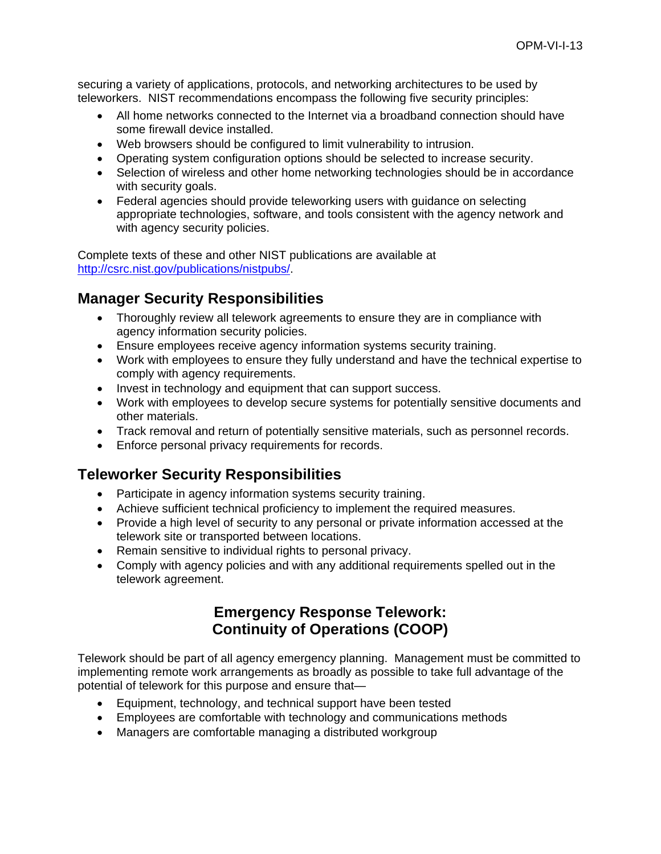securing a variety of applications, protocols, and networking architectures to be used by teleworkers. NIST recommendations encompass the following five security principles:

- All home networks connected to the Internet via a broadband connection should have some firewall device installed.
- Web browsers should be configured to limit vulnerability to intrusion.
- Operating system configuration options should be selected to increase security.
- Selection of wireless and other home networking technologies should be in accordance with security goals.
- Federal agencies should provide teleworking users with guidance on selecting appropriate technologies, software, and tools consistent with the agency network and with agency security policies.

Complete texts of these and other NIST publications are available at [http://csrc.nist.gov/publications/nistpubs/.](http://csrc.nist.gov/publications/nistpubs/)

# **Manager Security Responsibilities**

- Thoroughly review all telework agreements to ensure they are in compliance with agency information security policies.
- Ensure employees receive agency information systems security training.
- Work with employees to ensure they fully understand and have the technical expertise to comply with agency requirements.
- Invest in technology and equipment that can support success.
- Work with employees to develop secure systems for potentially sensitive documents and other materials.
- Track removal and return of potentially sensitive materials, such as personnel records.
- Enforce personal privacy requirements for records.

# **Teleworker Security Responsibilities**

- Participate in agency information systems security training.
- Achieve sufficient technical proficiency to implement the required measures.
- Provide a high level of security to any personal or private information accessed at the telework site or transported between locations.
- Remain sensitive to individual rights to personal privacy.
- Comply with agency policies and with any additional requirements spelled out in the telework agreement.

# **Emergency Response Telework: Continuity of Operations (COOP)**

Telework should be part of all agency emergency planning. Management must be committed to implementing remote work arrangements as broadly as possible to take full advantage of the potential of telework for this purpose and ensure that—

- Equipment, technology, and technical support have been tested
- Employees are comfortable with technology and communications methods
- Managers are comfortable managing a distributed workgroup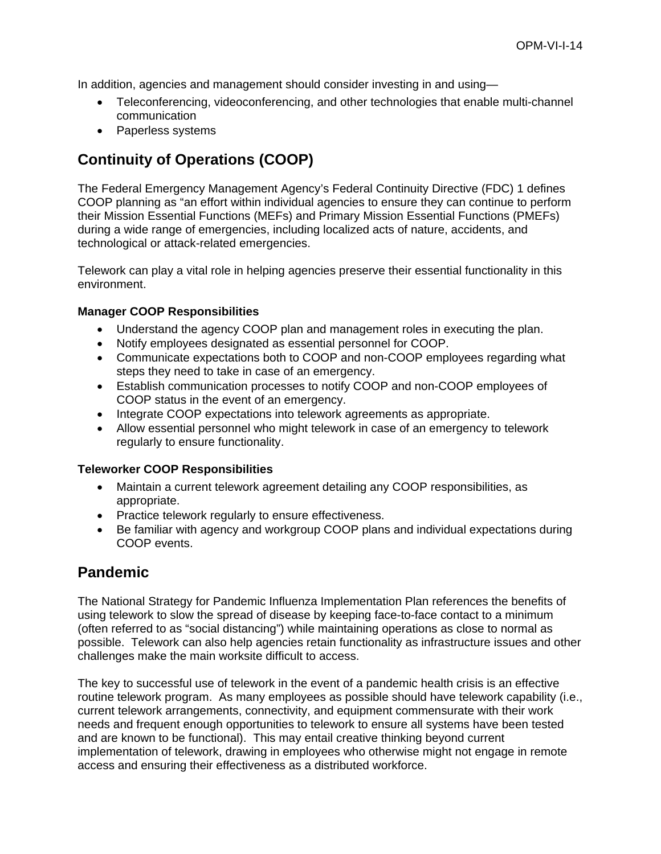In addition, agencies and management should consider investing in and using—

- Teleconferencing, videoconferencing, and other technologies that enable multi-channel communication
- Paperless systems

# **Continuity of Operations (COOP)**

The Federal Emergency Management Agency's Federal Continuity Directive (FDC) 1 defines COOP planning as "an effort within individual agencies to ensure they can continue to perform their Mission Essential Functions (MEFs) and Primary Mission Essential Functions (PMEFs) during a wide range of emergencies, including localized acts of nature, accidents, and technological or attack-related emergencies.

Telework can play a vital role in helping agencies preserve their essential functionality in this environment.

## **Manager COOP Responsibilities**

- Understand the agency COOP plan and management roles in executing the plan.
- Notify employees designated as essential personnel for COOP.
- Communicate expectations both to COOP and non-COOP employees regarding what steps they need to take in case of an emergency.
- Establish communication processes to notify COOP and non-COOP employees of COOP status in the event of an emergency.
- Integrate COOP expectations into telework agreements as appropriate.
- Allow essential personnel who might telework in case of an emergency to telework regularly to ensure functionality.

## **Teleworker COOP Responsibilities**

- Maintain a current telework agreement detailing any COOP responsibilities, as appropriate.
- Practice telework regularly to ensure effectiveness.
- Be familiar with agency and workgroup COOP plans and individual expectations during COOP events.

# **Pandemic**

The National Strategy for Pandemic Influenza Implementation Plan references the benefits of using telework to slow the spread of disease by keeping face-to-face contact to a minimum (often referred to as "social distancing") while maintaining operations as close to normal as possible. Telework can also help agencies retain functionality as infrastructure issues and other challenges make the main worksite difficult to access.

The key to successful use of telework in the event of a pandemic health crisis is an effective routine telework program. As many employees as possible should have telework capability (i.e., current telework arrangements, connectivity, and equipment commensurate with their work needs and frequent enough opportunities to telework to ensure all systems have been tested and are known to be functional). This may entail creative thinking beyond current implementation of telework, drawing in employees who otherwise might not engage in remote access and ensuring their effectiveness as a distributed workforce.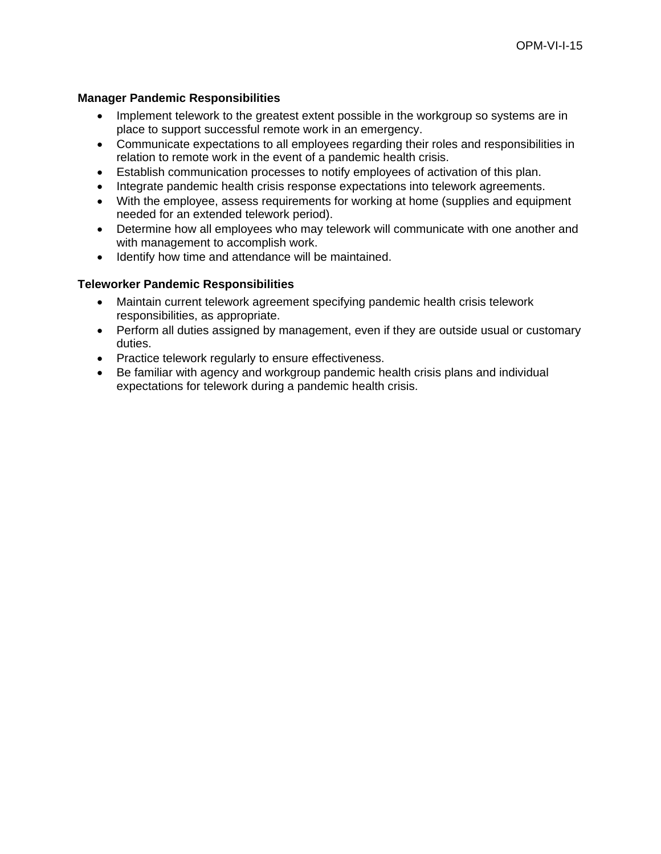### **Manager Pandemic Responsibilities**

- Implement telework to the greatest extent possible in the workgroup so systems are in place to support successful remote work in an emergency.
- Communicate expectations to all employees regarding their roles and responsibilities in relation to remote work in the event of a pandemic health crisis.
- Establish communication processes to notify employees of activation of this plan.
- Integrate pandemic health crisis response expectations into telework agreements.
- With the employee, assess requirements for working at home (supplies and equipment needed for an extended telework period).
- Determine how all employees who may telework will communicate with one another and with management to accomplish work.
- Identify how time and attendance will be maintained.

#### **Teleworker Pandemic Responsibilities**

- Maintain current telework agreement specifying pandemic health crisis telework responsibilities, as appropriate.
- Perform all duties assigned by management, even if they are outside usual or customary duties.
- Practice telework regularly to ensure effectiveness.
- Be familiar with agency and workgroup pandemic health crisis plans and individual expectations for telework during a pandemic health crisis.